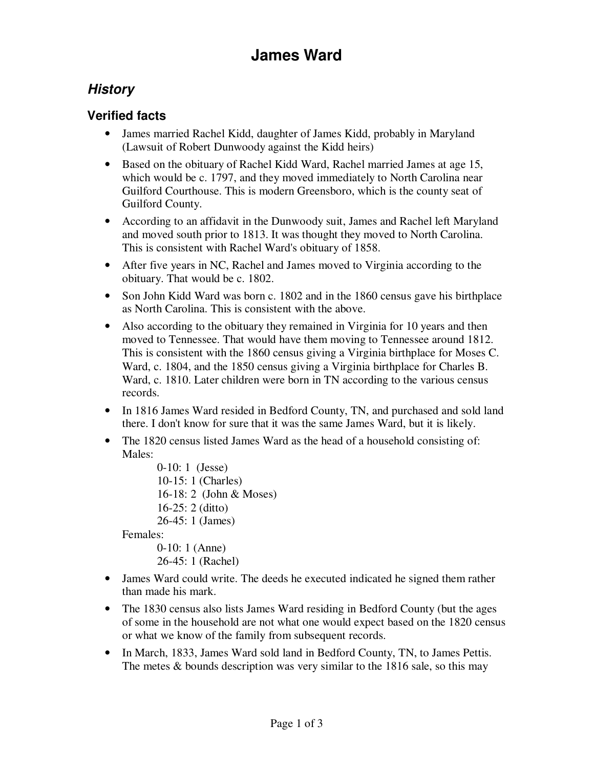# **James Ward**

## **History**

### **Verified facts**

- James married Rachel Kidd, daughter of James Kidd, probably in Maryland (Lawsuit of Robert Dunwoody against the Kidd heirs)
- Based on the obituary of Rachel Kidd Ward, Rachel married James at age 15, which would be c. 1797, and they moved immediately to North Carolina near Guilford Courthouse. This is modern Greensboro, which is the county seat of Guilford County.
- According to an affidavit in the Dunwoody suit, James and Rachel left Maryland and moved south prior to 1813. It was thought they moved to North Carolina. This is consistent with Rachel Ward's obituary of 1858.
- After five years in NC, Rachel and James moved to Virginia according to the obituary. That would be c. 1802.
- Son John Kidd Ward was born c. 1802 and in the 1860 census gave his birthplace as North Carolina. This is consistent with the above.
- Also according to the obituary they remained in Virginia for 10 years and then moved to Tennessee. That would have them moving to Tennessee around 1812. This is consistent with the 1860 census giving a Virginia birthplace for Moses C. Ward, c. 1804, and the 1850 census giving a Virginia birthplace for Charles B. Ward, c. 1810. Later children were born in TN according to the various census records.
- In 1816 James Ward resided in Bedford County, TN, and purchased and sold land there. I don't know for sure that it was the same James Ward, but it is likely.
- The 1820 census listed James Ward as the head of a household consisting of: Males:

```
 0-10: 1 (Jesse) 
10-15: 1 (Charles) 
16-18: 2 (John & Moses) 
16-25: 2 (ditto) 
26-45: 1 (James)
```
Females:

 0-10: 1 (Anne) 26-45: 1 (Rachel)

- James Ward could write. The deeds he executed indicated he signed them rather than made his mark.
- The 1830 census also lists James Ward residing in Bedford County (but the ages of some in the household are not what one would expect based on the 1820 census or what we know of the family from subsequent records.
- In March, 1833, James Ward sold land in Bedford County, TN, to James Pettis. The metes  $&$  bounds description was very similar to the 1816 sale, so this may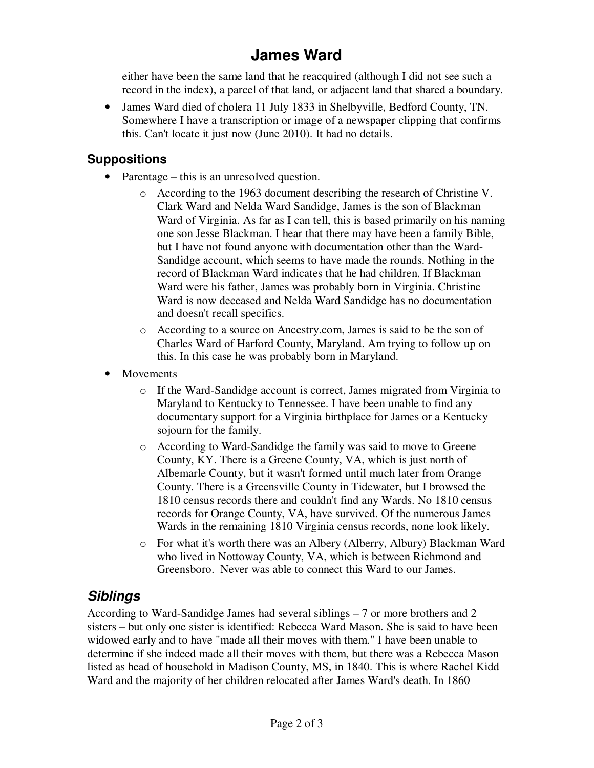# **James Ward**

either have been the same land that he reacquired (although I did not see such a record in the index), a parcel of that land, or adjacent land that shared a boundary.

• James Ward died of cholera 11 July 1833 in Shelbyville, Bedford County, TN. Somewhere I have a transcription or image of a newspaper clipping that confirms this. Can't locate it just now (June 2010). It had no details.

#### **Suppositions**

- Parentage this is an unresolved question.
	- o According to the 1963 document describing the research of Christine V. Clark Ward and Nelda Ward Sandidge, James is the son of Blackman Ward of Virginia. As far as I can tell, this is based primarily on his naming one son Jesse Blackman. I hear that there may have been a family Bible, but I have not found anyone with documentation other than the Ward-Sandidge account, which seems to have made the rounds. Nothing in the record of Blackman Ward indicates that he had children. If Blackman Ward were his father, James was probably born in Virginia. Christine Ward is now deceased and Nelda Ward Sandidge has no documentation and doesn't recall specifics.
	- o According to a source on Ancestry.com, James is said to be the son of Charles Ward of Harford County, Maryland. Am trying to follow up on this. In this case he was probably born in Maryland.
- Movements
	- o If the Ward-Sandidge account is correct, James migrated from Virginia to Maryland to Kentucky to Tennessee. I have been unable to find any documentary support for a Virginia birthplace for James or a Kentucky sojourn for the family.
	- o According to Ward-Sandidge the family was said to move to Greene County, KY. There is a Greene County, VA, which is just north of Albemarle County, but it wasn't formed until much later from Orange County. There is a Greensville County in Tidewater, but I browsed the 1810 census records there and couldn't find any Wards. No 1810 census records for Orange County, VA, have survived. Of the numerous James Wards in the remaining 1810 Virginia census records, none look likely.
	- o For what it's worth there was an Albery (Alberry, Albury) Blackman Ward who lived in Nottoway County, VA, which is between Richmond and Greensboro. Never was able to connect this Ward to our James.

## **Siblings**

According to Ward-Sandidge James had several siblings – 7 or more brothers and 2 sisters – but only one sister is identified: Rebecca Ward Mason. She is said to have been widowed early and to have "made all their moves with them." I have been unable to determine if she indeed made all their moves with them, but there was a Rebecca Mason listed as head of household in Madison County, MS, in 1840. This is where Rachel Kidd Ward and the majority of her children relocated after James Ward's death. In 1860